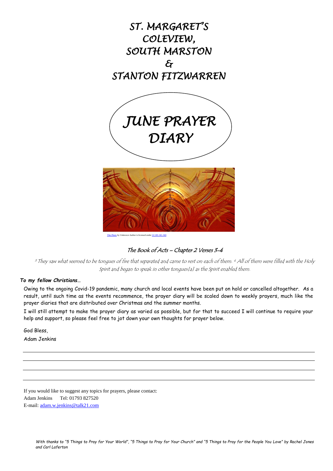

# The Book of Acts – Chapter 2 Verses 3-4

 $^3$  They saw what seemed to be tongues of fire that separated and came to rest on each of them.  $^4$  All of them were filled with the Holy Spirit and began to speak in other tongues[a] as the Spirit enabled them.

# *To my fellow Christians…*

Owing to the ongoing Covid-19 pandemic, many church and local events have been put on hold or cancelled altogether. As a result, until such time as the events recommence, the prayer diary will be scaled down to weekly prayers, much like the prayer diaries that are distributed over Christmas and the summer months.

I will still attempt to make the prayer diary as varied as possible, but for that to succeed I will continue to require your help and support, so please feel free to jot down your own thoughts for prayer below.

God Bless,

Adam Jenkins

If you would like to suggest any topics for prayers, please contact: Adam Jenkins Tel: 01793 827520 E-mail: [adam.w.jenkins@talk21.com](mailto:adam.w.jenkins@talk21.com)